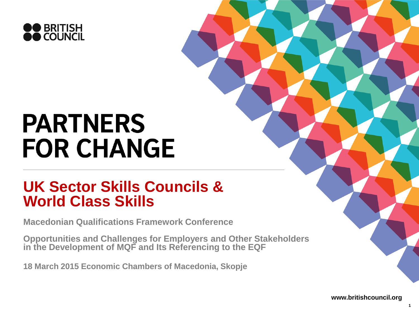

# **PARTNERS FOR CHANGE**

#### **UK Sector Skills Councils & World Class Skills**

**Macedonian Qualifications Framework Conference**

**Opportunities and Challenges for Employers and Other Stakeholders in the Development of MQF and Its Referencing to the EQF**

**18 March 2015 Economic Chambers of Macedonia, Skopje**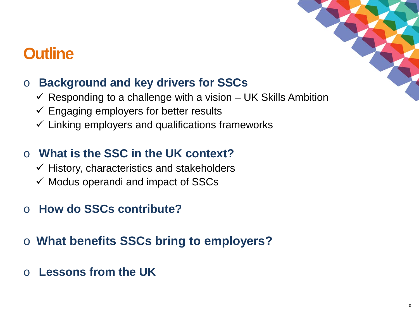## **Outline**

#### o **Background and key drivers for SSCs**

- $\checkmark$  Responding to a challenge with a vision UK Skills Ambition
- $\checkmark$  Engaging employers for better results
- $\checkmark$  Linking employers and qualifications frameworks

#### o **What is the SSC in the UK context?**

- $\checkmark$  History, characteristics and stakeholders
- $\checkmark$  Modus operandi and impact of SSCs
- o **How do SSCs contribute?**
- o **What benefits SSCs bring to employers?**
- o **Lessons from the UK**



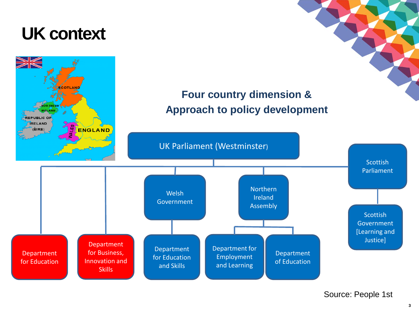# **UK context**

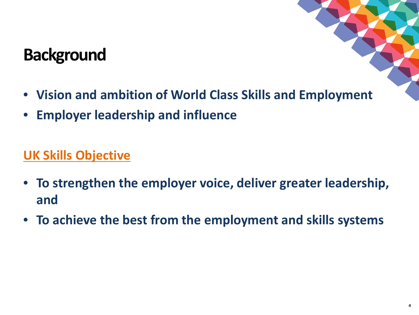# **Background**

- 
- **Vision and ambition of World Class Skills and Employment**
- **Employer leadership and influence**

#### **UK Skills Objective**

- **To strengthen the employer voice, deliver greater leadership, and**
- **To achieve the best from the employment and skills systems**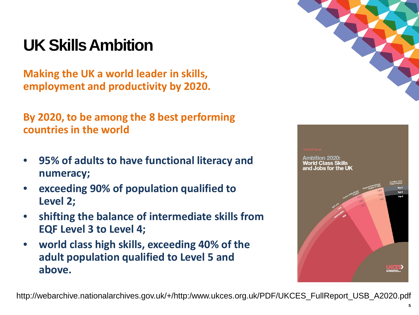# **UK Skills Ambition**

**Making the UK a world leader in skills, employment and productivity by 2020.**

**By 2020, to be among the 8 best performing countries in the world**

- **95% of adults to have functional literacy and numeracy;**
- **exceeding 90% of population qualified to Level 2;**
- **shifting the balance of intermediate skills from EQF Level 3 to Level 4;**
- **world class high skills, exceeding 40% of the adult population qualified to Level 5 and above.**



# orld Class Skills

http://webarchive.nationalarchives.gov.uk/+/http:/www.ukces.org.uk/PDF/UKCES\_FullReport\_USB\_A2020.pdf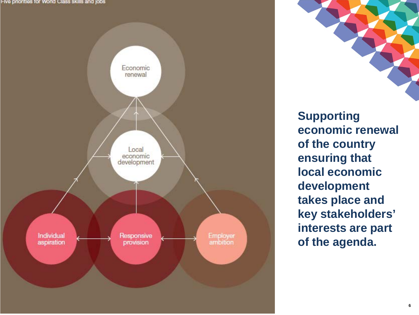Five priorities for World Class skills and jobs



**Supporting economic renewal of the country ensuring that local economic development takes place and key stakeholders' interests are part of the agenda.**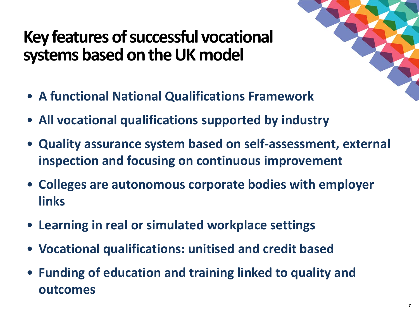# **Key features of successful vocational systems based on the UK model**

- **A functional National Qualifications Framework**
- **All vocational qualifications supported by industry**
- **Quality assurance system based on self-assessment, external inspection and focusing on continuous improvement**
- **Colleges are autonomous corporate bodies with employer links**
- **Learning in real or simulated workplace settings**
- **Vocational qualifications: unitised and credit based**
- **Funding of education and training linked to quality and outcomes**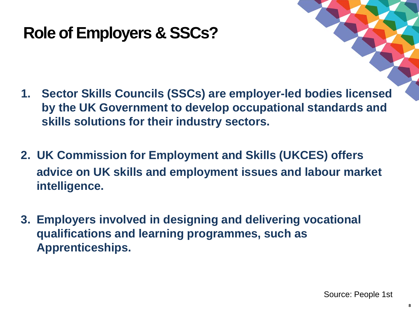# **Role of Employers & SSCs?**

- **1. Sector Skills Councils (SSCs) are employer-led bodies licensed by the UK Government to develop occupational standards and skills solutions for their industry sectors.**
- **2. UK Commission for Employment and Skills (UKCES) offers advice on UK skills and employment issues and labour market intelligence.**
- **3. Employers involved in designing and delivering vocational qualifications and learning programmes, such as Apprenticeships.**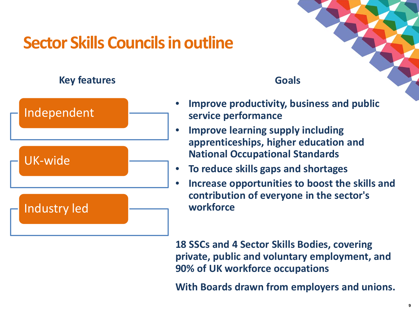# **Sector Skills Councils in outline**

#### **Key features**



#### **Goals**

- **Improve productivity, business and public service performance**
- **Improve learning supply including apprenticeships, higher education and National Occupational Standards**
- **To reduce skills gaps and shortages**
- **Increase opportunities to boost the skills and contribution of everyone in the sector's workforce**

**18 SSCs and 4 Sector Skills Bodies, covering private, public and voluntary employment, and 90% of UK workforce occupations**

**With Boards drawn from employers and unions.**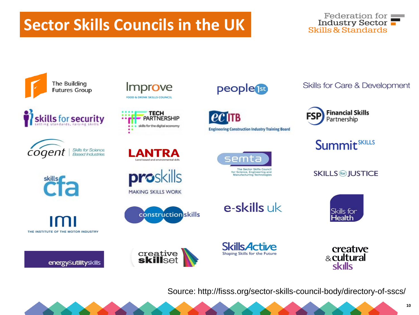# **Sector Skills Councils in the UK**





















proskills

#### **MAKING SKILLS WORK**

creative<br>**skill**set



people<sup>150</sup>

IITB **Engineering Construction Industry Training Board** 



**Skills for Care & Development** 



**Summit**<sup>SKILLS</sup>

**SKILLS im JUSTICE** 



**Skills Active** Shaping Skills for the Future

e-skills uk

creative & cultural **skills** 

Source: http://fisss.org/sector-skills-council-body/directory-of-sscs/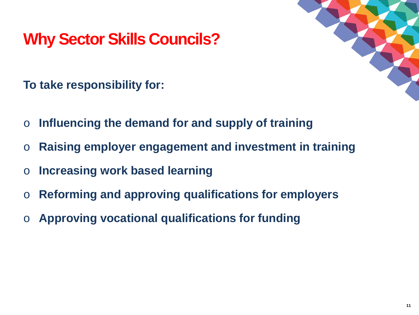# **Why Sector Skills Councils?**



**To take responsibility for:**

- o **Influencing the demand for and supply of training**
- o **Raising employer engagement and investment in training**
- o **Increasing work based learning**
- o **Reforming and approving qualifications for employers**
- o **Approving vocational qualifications for funding**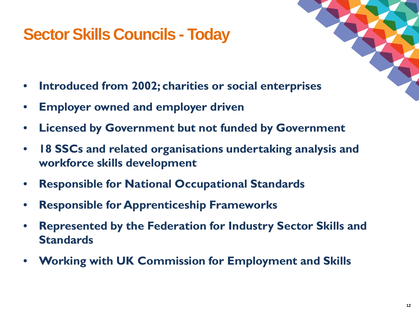# **Sector Skills Councils - Today**

- **Introduced from 2002; charities or social enterprises**
- **Employer owned and employer driven**
- **Licensed by Government but not funded by Government**
- **18 SSCs and related organisations undertaking analysis and workforce skills development**
- **Responsible for National Occupational Standards**
- **Responsible for Apprenticeship Frameworks**
- **Represented by the Federation for Industry Sector Skills and Standards**
- **Working with UK Commission for Employment and Skills**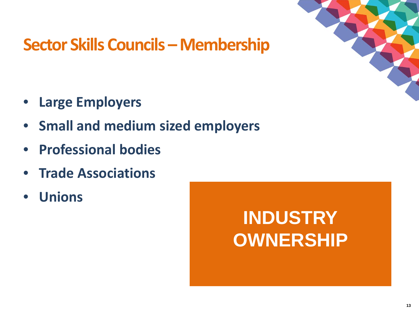

# **Sector Skills Councils – Membership**

- **Large Employers**
- **Small and medium sized employers**
- **Professional bodies**
- **Trade Associations**
- **Unions**

# **INDUSTRY OWNERSHIP**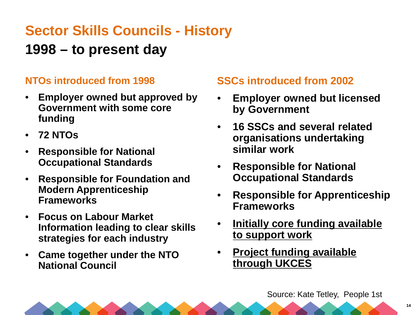#### **Sector Skills Councils - History**

#### **1998 – to present day**

#### **NTOs introduced from 1998**

- **Employer owned but approved by Government with some core funding**
- **72 NTOs**
- **Responsible for National Occupational Standards**
- **Responsible for Foundation and Modern Apprenticeship Frameworks**
- **Focus on Labour Market Information leading to clear skills strategies for each industry**
- **Came together under the NTO National Council**

#### **SSCs introduced from 2002**

- **Employer owned but licensed by Government**
- **16 SSCs and several related organisations undertaking similar work**
- **Responsible for National Occupational Standards**
- **Responsible for Apprenticeship Frameworks**
- **Initially core funding available to support work**
- **Project funding available through UKCES**

Source: Kate Tetley, People 1st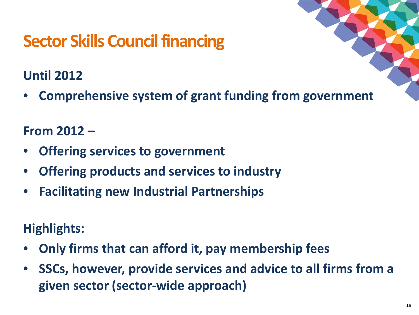# **Sector Skills Council financing**

#### **Until 2012**

• **Comprehensive system of grant funding from government**

#### **From 2012 –**

- **Offering services to government**
- **Offering products and services to industry**
- **Facilitating new Industrial Partnerships**

#### **Highlights:**

- **Only firms that can afford it, pay membership fees**
- **SSCs, however, provide services and advice to all firms from a given sector (sector-wide approach)**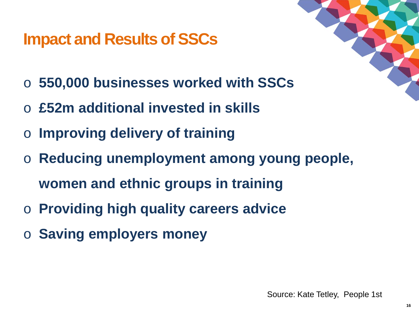# **Impact and Results of SSCs**



- o **550,000 businesses worked with SSCs**
- o **£52m additional invested in skills**
- o **Improving delivery of training**
- o **Reducing unemployment among young people, women and ethnic groups in training**
- o **Providing high quality careers advice**
- o **Saving employers money**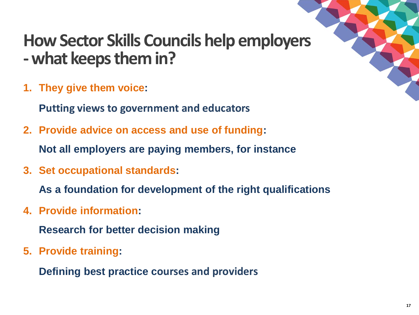# **How Sector Skills Councils help employers -what keeps them in?**

**1. They give them voice:** 

**Putting views to government and educators** 

**2. Provide advice on access and use of funding:** 

**Not all employers are paying members, for instance**

**3. Set occupational standards:**

**As a foundation for development of the right qualifications**

**4. Provide information:**

**Research for better decision making**

**5. Provide training:** 

**Defining best practice courses and providers**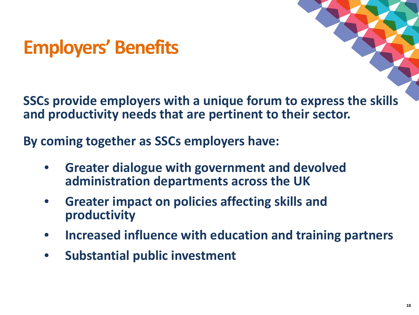# **Employers' Benefits**

**SSCs provide employers with a unique forum to express the skills and productivity needs that are pertinent to their sector.**

**By coming together as SSCs employers have:**

- **Greater dialogue with government and devolved administration departments across the UK**
- **Greater impact on policies affecting skills and productivity**
- **Increased influence with education and training partners**
- **Substantial public investment**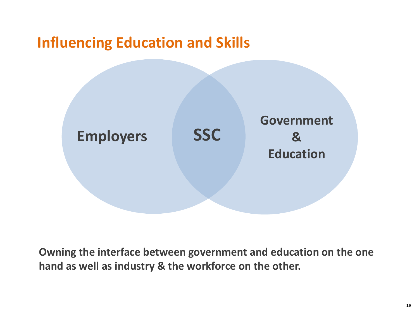#### **Influencing Education and Skills**



**Owning the interface between government and education on the one hand as well as industry & the workforce on the other.**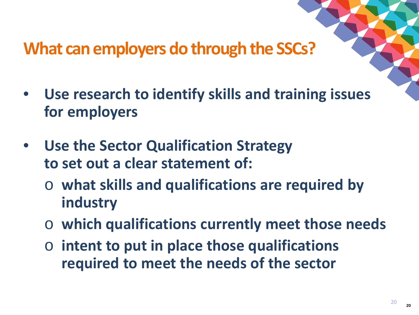# **What can employers do through the SSCs?**

- **Use research to identify skills and training issues for employers**
- **Use the Sector Qualification Strategy to set out a clear statement of:**
	- o **what skills and qualifications are required by industry**
	- o **which qualifications currently meet those needs**
	- o **intent to put in place those qualifications required to meet the needs of the sector**

**<sup>20</sup>** <sup>20</sup>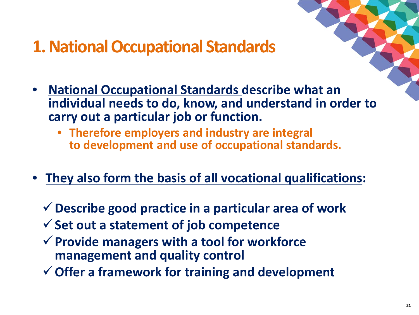# **1. National Occupational Standards**

- **National Occupational Standards describe what an individual needs to do, know, and understand in order to carry out a particular job or function.**
	- **Therefore employers and industry are integral to development and use of occupational standards.**
- **They also form the basis of all vocational qualifications:**
	- **Describe good practice in a particular area of work**
	- **Set out a statement of job competence**
	- **Provide managers with a tool for workforce management and quality control**
	- **Offer a framework for training and development**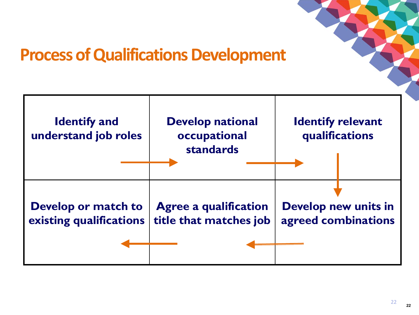

# **Process of Qualifications Development**



22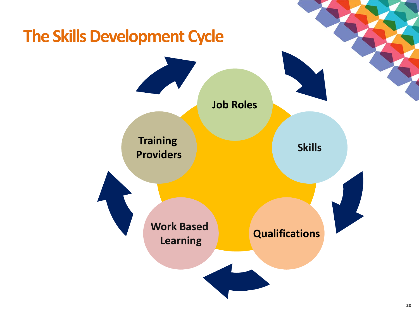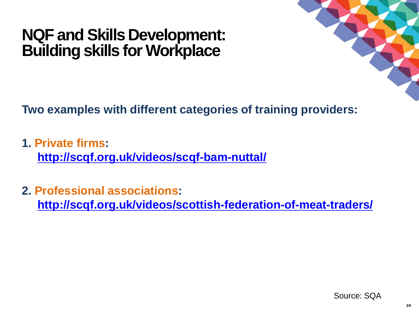## **NQF and Skills Development: Building skills for Workplace**



**Two examples with different categories of training providers:**

- **1. Private firms: <http://scqf.org.uk/videos/scqf-bam-nuttal/>**
- **2. Professional associations: <http://scqf.org.uk/videos/scottish-federation-of-meat-traders/>**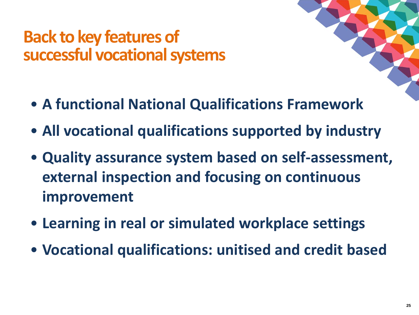# **Back to key features of successful vocational systems**

- **A functional National Qualifications Framework**
- **All vocational qualifications supported by industry**
- **Quality assurance system based on self-assessment, external inspection and focusing on continuous improvement**
- **Learning in real or simulated workplace settings**
- **Vocational qualifications: unitised and credit based**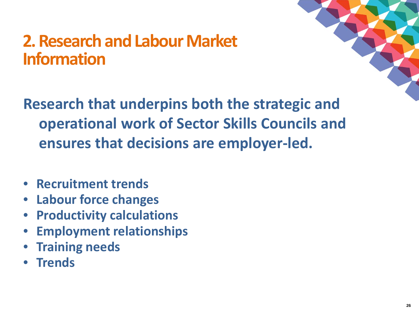# **2. Research and Labour Market Information**



**Research that underpins both the strategic and operational work of Sector Skills Councils and ensures that decisions are employer-led.** 

- **Recruitment trends**
- **Labour force changes**
- **Productivity calculations**
- **Employment relationships**
- **Training needs**
- **Trends**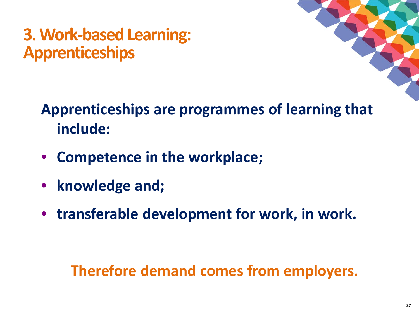# **3. Work-based Learning: Apprenticeships**



# **Apprenticeships are programmes of learning that include:**

- **Competence in the workplace;**
- **knowledge and;**
- **transferable development for work, in work.**

# **Therefore demand comes from employers.**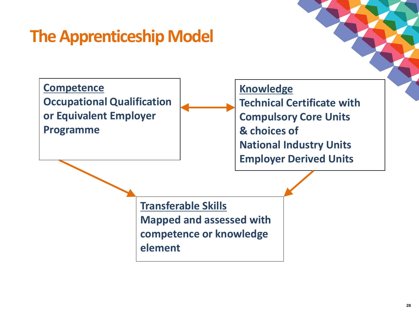# **The Apprenticeship Model**

**Competence Occupational Qualification or Equivalent Employer Programme**

**Knowledge Technical Certificate with Compulsory Core Units & choices of National Industry Units Employer Derived Units**

**Transferable Skills Mapped and assessed with competence or knowledge element**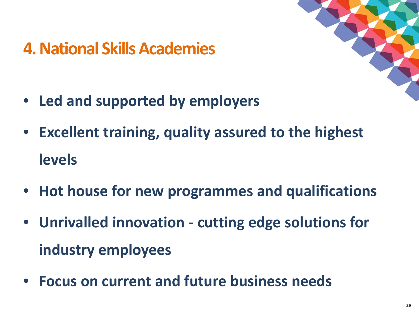# **4. National Skills Academies**



- **Led and supported by employers**
- **Excellent training, quality assured to the highest levels**
- **Hot house for new programmes and qualifications**
- **Unrivalled innovation - cutting edge solutions for industry employees**
- **Focus on current and future business needs**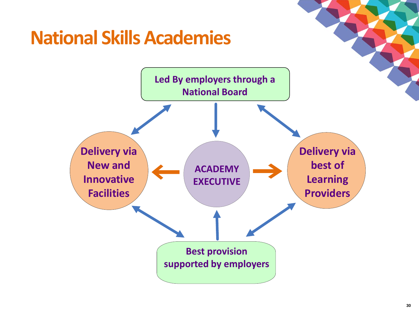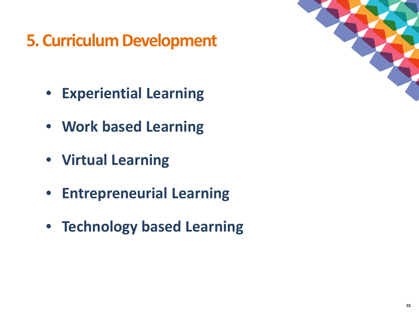# **5. Curriculum Development**

- **Experiential Learning**
- **Work based Learning**
- **Virtual Learning**
- **Entrepreneurial Learning**
- **Technology based Learning**

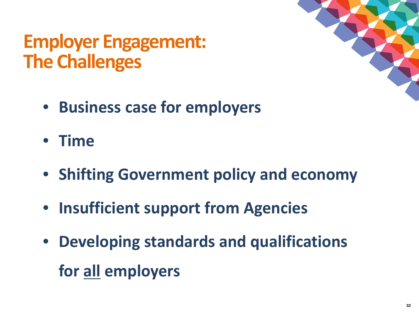# **Employer Engagement: The Challenges**



- **Business case for employers**
- **Time**
- **Shifting Government policy and economy**
- **Insufficient support from Agencies**
- **Developing standards and qualifications for all employers**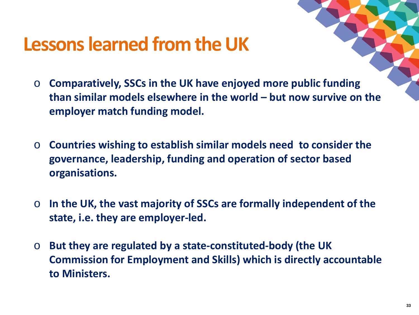# **Lessons learned from the UK**

- o **Comparatively, SSCs in the UK have enjoyed more public funding than similar models elsewhere in the world – but now survive on the employer match funding model.**
- o **Countries wishing to establish similar models need to consider the governance, leadership, funding and operation of sector based organisations.**
- o **In the UK, the vast majority of SSCs are formally independent of the state, i.e. they are employer-led.**
- o **But they are regulated by a state-constituted-body (the UK Commission for Employment and Skills) which is directly accountable to Ministers.**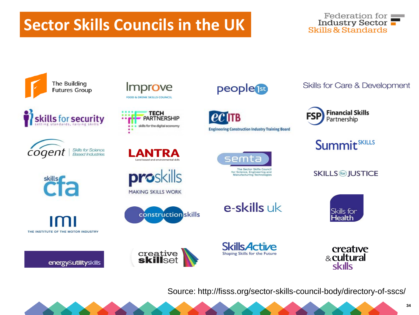# **Sector Skills Councils in the UK**





















proskills



creative<br>**skill**set





IITB **Engineering Construction Industry Training Board** 



**Skills for Care & Development** 



**Summit**<sup>SKILLS</sup>

**SKILLS im JUSTICE** 





e-skills uk

creative & cultural **skills** 

Source: http://fisss.org/sector-skills-council-body/directory-of-sscs/